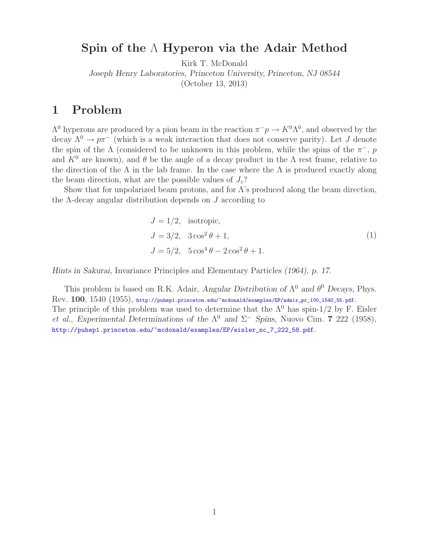## **Spin of the** Λ **Hyperon via the Adair Method**

Kirk T. McDonald

*Joseph Henry Laboratories, Princeton University, Princeton, NJ 08544*

(October 13, 2013)

## **1 Problem**

 $Λ<sup>0</sup>$  hyperons are produced by a pion beam in the reaction  $π<sup>−</sup>p → K<sup>0</sup>Λ<sup>0</sup>$ , and observed by the decay  $\Lambda^0 \to p\pi^-$  (which is a weak interaction that does not conserve parity). Let J denote the spin of the  $\Lambda$  (considered to be unknown in this problem, while the spins of the  $\pi$ <sup>-</sup>, p and  $K^0$  are known), and  $\theta$  be the angle of a decay product in the  $\Lambda$  rest frame, relative to the direction of the  $\Lambda$  in the lab frame. In the case where the  $\Lambda$  is produced exactly along the beam direction, what are the possible values of  $J_z$ ?

Show that for unpolarized beam protons, and for  $\Lambda$ 's produced along the beam direction, the Λ-decay angular distribution depends on J according to

$$
J = 1/2, \text{ isotropic},
$$
  
\n
$$
J = 3/2, \quad 3\cos^2\theta + 1,
$$
  
\n
$$
J = 5/2, \quad 5\cos^4\theta - 2\cos^2\theta + 1.
$$
\n(1)

*Hints in Sakurai,* Invariance Principles and Elementary Particles *(1964), p. 17.*

This problem is based on R.K. Adair, *Angular Distribution of*  $\Lambda^0$  *and*  $\theta^0$  *Decays*, Phys. Rev. **100**, 1540 (1955), http://puhep1.princeton.edu/~mcdonald/examples/EP/adair\_pr\_100\_1540\_55.pdf. The principle of this problem was used to determine that the  $\Lambda^0$  has spin-1/2 by F. Eisler *et al.*, *Experimental Determinations of the*  $\Lambda^0$  *and*  $\Sigma^-$  *Spins*, Nuovo Cim. **7** 222 (1958), http://puhep1.princeton.edu/~mcdonald/examples/EP/eisler\_nc\_7\_222\_58.pdf.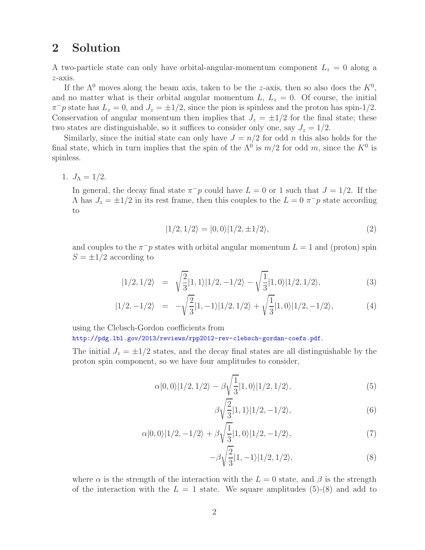## **2 Solution**

A two-particle state can only have orbital-angular-momentum component  $L_z = 0$  along a z-axis.

If the  $\Lambda^0$  moves along the beam axis, taken to be the z-axis, then so also does the  $K^0$ , and no matter what is their orbital angular momentum  $L, L_z = 0$ . Of course, the initial  $\pi^- p$  state has  $L_z = 0$ , and  $J_z = \pm 1/2$ , since the pion is spinless and the proton has spin-1/2. Conservation of angular momentum then implies that  $J_z = \pm 1/2$  for the final state; these two states are distinguishable, so it suffices to consider only one, say  $J_z = 1/2$ .

Similarly, since the initial state can only have  $J = n/2$  for odd n this also holds for the final state, which in turn implies that the spin of the  $\Lambda^0$  is  $m/2$  for odd m, since the  $K^0$  is spinless.

1.  $J_{\Lambda} = 1/2$ .

In general, the decay final state  $\pi$ <sup>−</sup>p could have  $L = 0$  or 1 such that  $J = 1/2$ . If the  $\Lambda$  has  $J_z = \pm 1/2$  in its rest frame, then this couples to the  $L = 0 \pi^- p$  state according to

$$
|1/2, 1/2\rangle = |0, 0\rangle |1/2, \pm 1/2\rangle, \tag{2}
$$

and couples to the  $\pi$ <sup>−</sup>p states with orbital angular momentum  $L = 1$  and (proton) spin  $S = \pm 1/2$  according to

$$
|1/2,1/2\rangle = \sqrt{\frac{2}{3}}|1,1\rangle|1/2,-1/2\rangle - \sqrt{\frac{1}{3}}|1,0\rangle|1/2,1/2\rangle, \tag{3}
$$

$$
|1/2, -1/2\rangle = -\sqrt{\frac{2}{3}}|1, -1\rangle|1/2, 1/2\rangle + \sqrt{\frac{1}{3}}|1, 0\rangle|1/2, -1/2\rangle, \tag{4}
$$

using the Clebsch-Gordon coefficients from

http://pdg.lbl.gov/2013/reviews/rpp2012-rev-clebsch-gordan-coefs.pdf.

The initial  $J_z = \pm 1/2$  states, and the decay final states are all distinguishable by the proton spin component, so we have four amplitudes to consider,

$$
\alpha|0,0\rangle|1/2,1/2\rangle - \beta \sqrt{\frac{1}{3}}|1,0\rangle|1/2,1/2\rangle, \tag{5}
$$

$$
\beta \sqrt{\frac{2}{3}} |1,1\rangle |1/2,-1/2\rangle,\tag{6}
$$

$$
\alpha|0,0\rangle|1/2,-1/2\rangle + \beta\sqrt{\frac{1}{3}}|1,0\rangle|1/2,-1/2\rangle, \tag{7}
$$

$$
-\beta \sqrt{\frac{2}{3}} |1, -1\rangle |1/2, 1/2\rangle, \tag{8}
$$

where  $\alpha$  is the strength of the interaction with the  $L = 0$  state, and  $\beta$  is the strength of the interaction with the  $L = 1$  state. We square amplitudes (5)-(8) and add to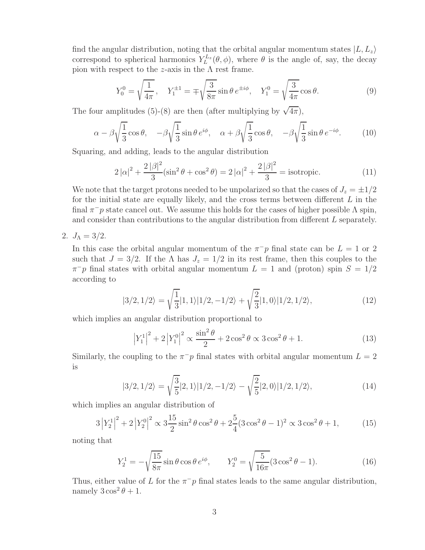find the angular distribution, noting that the orbital angular momentum states  $|L, L_z\rangle$ correspond to spherical harmonics  $Y_L^{L_z}(\theta, \phi)$ , where  $\theta$  is the angle of, say, the decay pion with respect to the *z*-axis in the  $\Lambda$  rest frame.

$$
Y_0^0 = \sqrt{\frac{1}{4\pi}}, \quad Y_1^{\pm 1} = \mp \sqrt{\frac{3}{8\pi}} \sin \theta \, e^{\pm i\phi}, \quad Y_1^0 = \sqrt{\frac{3}{4\pi}} \cos \theta.
$$
 (9)

The four amplitudes (5)-(8) are then (after multiplying by  $\sqrt{4\pi}$ ),

$$
\alpha - \beta \sqrt{\frac{1}{3}} \cos \theta, \quad -\beta \sqrt{\frac{1}{3}} \sin \theta e^{i\phi}, \quad \alpha + \beta \sqrt{\frac{1}{3}} \cos \theta, \quad -\beta \sqrt{\frac{1}{3}} \sin \theta e^{-i\phi}.
$$
 (10)

Squaring, and adding, leads to the angular distribution

$$
2|\alpha|^2 + \frac{2|\beta|^2}{3}(\sin^2\theta + \cos^2\theta) = 2|\alpha|^2 + \frac{2|\beta|^2}{3} = \text{isotropic.}
$$
 (11)

We note that the target protons needed to be unpolarized so that the cases of  $J_z = \pm 1/2$ for the initial state are equally likely, and the cross terms between different  $L$  in the final  $\pi$ <sup>−</sup>p state cancel out. We assume this holds for the cases of higher possible  $\Lambda$  spin, and consider than contributions to the angular distribution from different L separately.

## 2.  $J_{\Lambda} = 3/2$ .

In this case the orbital angular momentum of the  $\pi$ <sup>−</sup>p final state can be  $L = 1$  or 2 such that  $J = 3/2$ . If the  $\Lambda$  has  $J_z = 1/2$  in its rest frame, then this couples to the  $\pi$ <sup>−</sup>p final states with orbital angular momentum  $L = 1$  and (proton) spin  $S = 1/2$ according to

$$
|3/2,1/2\rangle = \sqrt{\frac{1}{3}}|1,1\rangle|1/2,-1/2\rangle + \sqrt{\frac{2}{3}}|1,0\rangle|1/2,1/2\rangle, \qquad (12)
$$

which implies an angular distribution proportional to

$$
\left|Y_1^1\right|^2 + 2\left|Y_1^0\right|^2 \propto \frac{\sin^2\theta}{2} + 2\cos^2\theta \propto 3\cos^2\theta + 1. \tag{13}
$$

Similarly, the coupling to the  $\pi$ <sup>-</sup>p final states with orbital angular momentum  $L = 2$ is

$$
|3/2,1/2\rangle = \sqrt{\frac{3}{5}}|2,1\rangle|1/2,-1/2\rangle - \sqrt{\frac{2}{5}}|2,0\rangle|1/2,1/2\rangle, \tag{14}
$$

which implies an angular distribution of

$$
3\left|Y_2^1\right|^2 + 2\left|Y_2^0\right|^2 \propto 3\frac{15}{2}\sin^2\theta\cos^2\theta + 2\frac{5}{4}(3\cos^2\theta - 1)^2 \propto 3\cos^2\theta + 1,\tag{15}
$$

noting that

$$
Y_2^1 = -\sqrt{\frac{15}{8\pi}} \sin \theta \cos \theta e^{i\phi}, \qquad Y_2^0 = \sqrt{\frac{5}{16\pi}} (3\cos^2 \theta - 1).
$$
 (16)

Thus, either value of L for the  $\pi$ <sup>-</sup>p final states leads to the same angular distribution, namely  $3\cos^2\theta + 1$ .